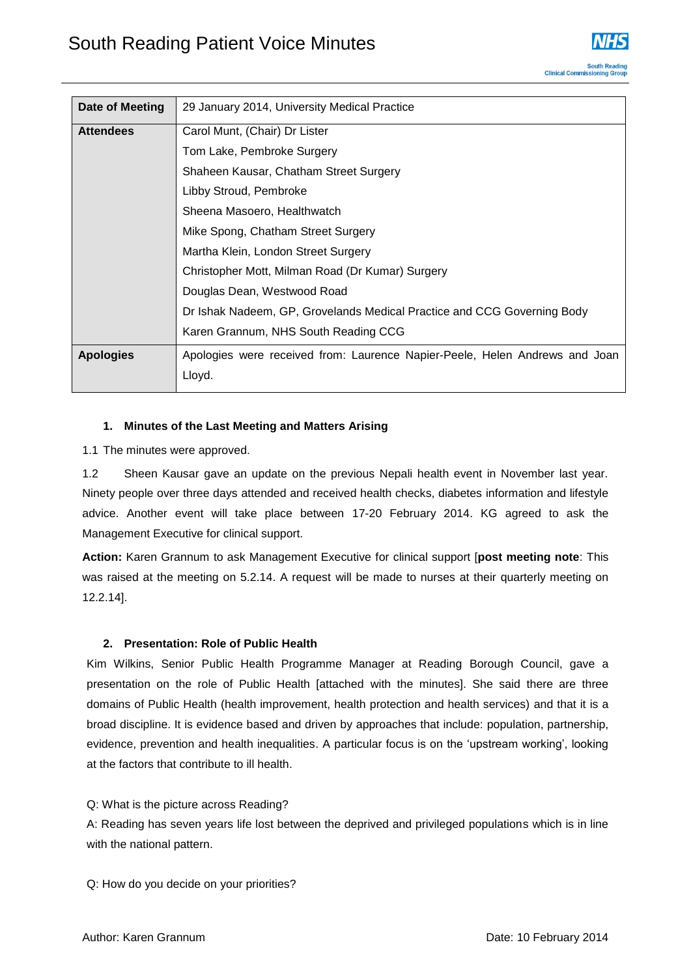

| Date of Meeting  | 29 January 2014, University Medical Practice                                |
|------------------|-----------------------------------------------------------------------------|
| <b>Attendees</b> | Carol Munt, (Chair) Dr Lister                                               |
|                  | Tom Lake, Pembroke Surgery                                                  |
|                  | Shaheen Kausar, Chatham Street Surgery                                      |
|                  | Libby Stroud, Pembroke                                                      |
|                  | Sheena Masoero, Healthwatch                                                 |
|                  | Mike Spong, Chatham Street Surgery                                          |
|                  | Martha Klein, London Street Surgery                                         |
|                  | Christopher Mott, Milman Road (Dr Kumar) Surgery                            |
|                  | Douglas Dean, Westwood Road                                                 |
|                  | Dr Ishak Nadeem, GP, Grovelands Medical Practice and CCG Governing Body     |
|                  | Karen Grannum, NHS South Reading CCG                                        |
| <b>Apologies</b> | Apologies were received from: Laurence Napier-Peele, Helen Andrews and Joan |
|                  | Lloyd.                                                                      |

# **1. Minutes of the Last Meeting and Matters Arising**

1.1 The minutes were approved.

1.2 Sheen Kausar gave an update on the previous Nepali health event in November last year. Ninety people over three days attended and received health checks, diabetes information and lifestyle advice. Another event will take place between 17-20 February 2014. KG agreed to ask the Management Executive for clinical support.

**Action:** Karen Grannum to ask Management Executive for clinical support [**post meeting note**: This was raised at the meeting on 5.2.14. A request will be made to nurses at their quarterly meeting on 12.2.14].

# **2. Presentation: Role of Public Health**

Kim Wilkins, Senior Public Health Programme Manager at Reading Borough Council, gave a presentation on the role of Public Health [attached with the minutes]. She said there are three domains of Public Health (health improvement, health protection and health services) and that it is a broad discipline. It is evidence based and driven by approaches that include: population, partnership, evidence, prevention and health inequalities. A particular focus is on the 'upstream working', looking at the factors that contribute to ill health.

Q: What is the picture across Reading?

A: Reading has seven years life lost between the deprived and privileged populations which is in line with the national pattern.

Q: How do you decide on your priorities?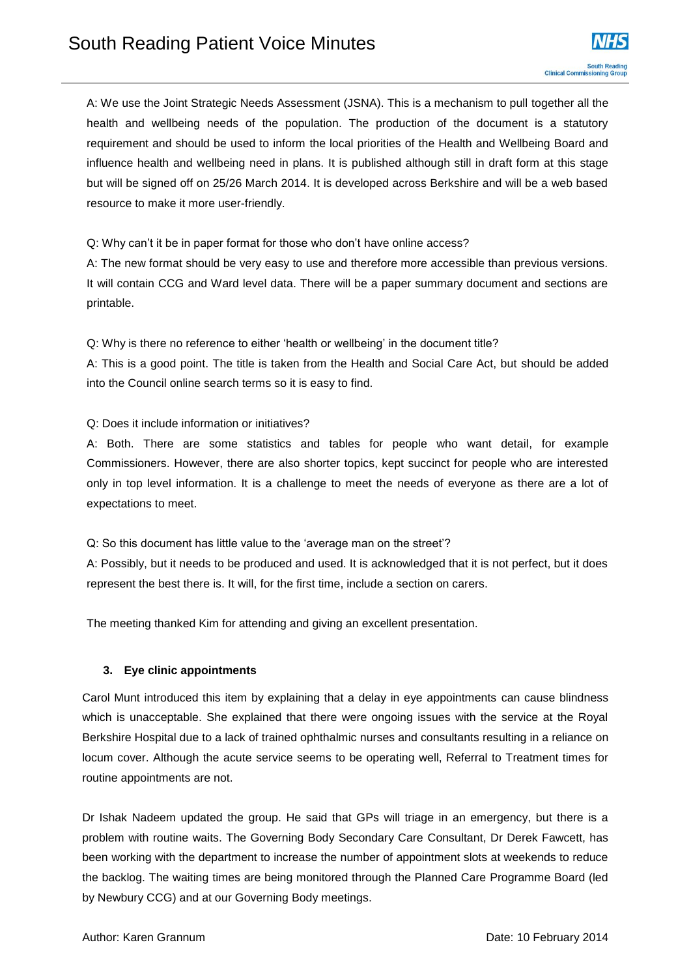A: We use the Joint Strategic Needs Assessment (JSNA). This is a mechanism to pull together all the health and wellbeing needs of the population. The production of the document is a statutory requirement and should be used to inform the local priorities of the Health and Wellbeing Board and influence health and wellbeing need in plans. It is published although still in draft form at this stage but will be signed off on 25/26 March 2014. It is developed across Berkshire and will be a web based resource to make it more user-friendly.

Q: Why can't it be in paper format for those who don't have online access?

A: The new format should be very easy to use and therefore more accessible than previous versions. It will contain CCG and Ward level data. There will be a paper summary document and sections are printable.

Q: Why is there no reference to either 'health or wellbeing' in the document title?

A: This is a good point. The title is taken from the Health and Social Care Act, but should be added into the Council online search terms so it is easy to find.

Q: Does it include information or initiatives?

A: Both. There are some statistics and tables for people who want detail, for example Commissioners. However, there are also shorter topics, kept succinct for people who are interested only in top level information. It is a challenge to meet the needs of everyone as there are a lot of expectations to meet.

Q: So this document has little value to the 'average man on the street'?

A: Possibly, but it needs to be produced and used. It is acknowledged that it is not perfect, but it does represent the best there is. It will, for the first time, include a section on carers.

The meeting thanked Kim for attending and giving an excellent presentation.

# **3. Eye clinic appointments**

Carol Munt introduced this item by explaining that a delay in eye appointments can cause blindness which is unacceptable. She explained that there were ongoing issues with the service at the Royal Berkshire Hospital due to a lack of trained ophthalmic nurses and consultants resulting in a reliance on locum cover. Although the acute service seems to be operating well, Referral to Treatment times for routine appointments are not.

Dr Ishak Nadeem updated the group. He said that GPs will triage in an emergency, but there is a problem with routine waits. The Governing Body Secondary Care Consultant, Dr Derek Fawcett, has been working with the department to increase the number of appointment slots at weekends to reduce the backlog. The waiting times are being monitored through the Planned Care Programme Board (led by Newbury CCG) and at our Governing Body meetings.